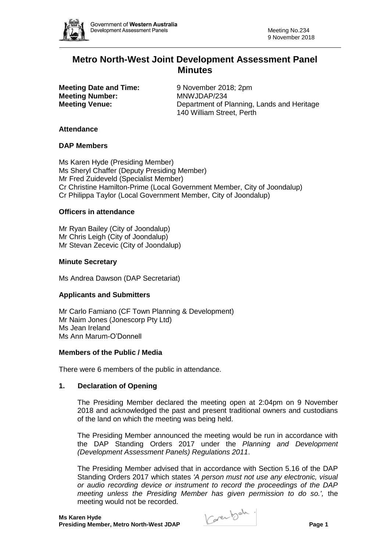

# **Metro North-West Joint Development Assessment Panel Minutes**

**Meeting Date and Time:** 9 November 2018; 2pm **Meeting Number:** MNWJDAP/234

**Meeting Venue:** Department of Planning, Lands and Heritage 140 William Street, Perth

#### **Attendance**

#### **DAP Members**

Ms Karen Hyde (Presiding Member) Ms Sheryl Chaffer (Deputy Presiding Member) Mr Fred Zuideveld (Specialist Member) Cr Christine Hamilton-Prime (Local Government Member, City of Joondalup) Cr Philippa Taylor (Local Government Member, City of Joondalup)

# **Officers in attendance**

Mr Ryan Bailey (City of Joondalup) Mr Chris Leigh (City of Joondalup) Mr Stevan Zecevic (City of Joondalup)

#### **Minute Secretary**

Ms Andrea Dawson (DAP Secretariat)

# **Applicants and Submitters**

Mr Carlo Famiano (CF Town Planning & Development) Mr Naim Jones (Jonescorp Pty Ltd) Ms Jean Ireland Ms Ann Marum-O'Donnell

#### **Members of the Public / Media**

There were 6 members of the public in attendance.

#### **1. Declaration of Opening**

The Presiding Member declared the meeting open at 2:04pm on 9 November 2018 and acknowledged the past and present traditional owners and custodians of the land on which the meeting was being held.

The Presiding Member announced the meeting would be run in accordance with the DAP Standing Orders 2017 under the *Planning and Development (Development Assessment Panels) Regulations 2011*.

The Presiding Member advised that in accordance with Section 5.16 of the DAP Standing Orders 2017 which states *'A person must not use any electronic, visual or audio recording device or instrument to record the proceedings of the DAP meeting unless the Presiding Member has given permission to do so.',* the meeting would not be recorded.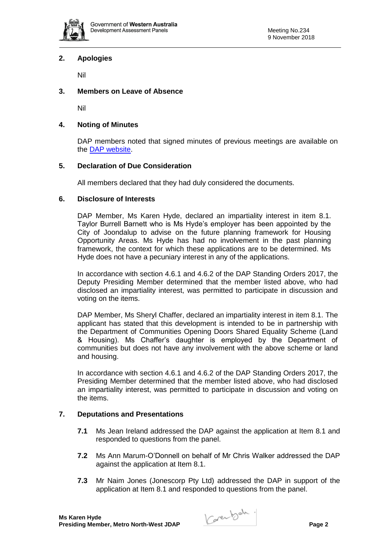

# **2. Apologies**

Nil

#### **3. Members on Leave of Absence**

Nil

#### **4. Noting of Minutes**

DAP members noted that signed minutes of previous meetings are available on the [DAP website.](https://www.planning.wa.gov.au/7578.aspx)

#### **5. Declaration of Due Consideration**

All members declared that they had duly considered the documents.

#### **6. Disclosure of Interests**

DAP Member, Ms Karen Hyde, declared an impartiality interest in item 8.1. Taylor Burrell Barnett who is Ms Hyde's employer has been appointed by the City of Joondalup to advise on the future planning framework for Housing Opportunity Areas. Ms Hyde has had no involvement in the past planning framework, the context for which these applications are to be determined. Ms Hyde does not have a pecuniary interest in any of the applications.

In accordance with section 4.6.1 and 4.6.2 of the DAP Standing Orders 2017, the Deputy Presiding Member determined that the member listed above, who had disclosed an impartiality interest, was permitted to participate in discussion and voting on the items.

DAP Member, Ms Sheryl Chaffer, declared an impartiality interest in item 8.1. The applicant has stated that this development is intended to be in partnership with the Department of Communities Opening Doors Shared Equality Scheme (Land & Housing). Ms Chaffer's daughter is employed by the Department of communities but does not have any involvement with the above scheme or land and housing.

In accordance with section 4.6.1 and 4.6.2 of the DAP Standing Orders 2017, the Presiding Member determined that the member listed above, who had disclosed an impartiality interest, was permitted to participate in discussion and voting on the items.

# **7. Deputations and Presentations**

- **7.1** Ms Jean Ireland addressed the DAP against the application at Item 8.1 and responded to questions from the panel.
- **7.2** Ms Ann Marum-O'Donnell on behalf of Mr Chris Walker addressed the DAP against the application at Item 8.1.
- **7.3** Mr Naim Jones (Jonescorp Pty Ltd) addressed the DAP in support of the application at Item 8.1 and responded to questions from the panel.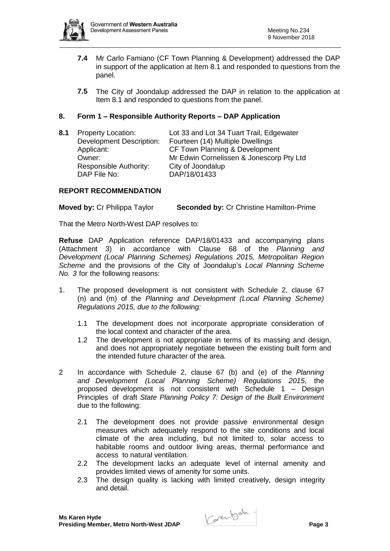

- **7.4** Mr Carlo Famiano (CF Town Planning & Development) addressed the DAP in support of the application at Item 8.1 and responded to questions from the panel.
- **7.5** The City of Joondalup addressed the DAP in relation to the application at Item 8.1 and responded to questions from the panel.

# **8. Form 1 – Responsible Authority Reports – DAP Application**

**8.1** Property Location: Lot 33 and Lot 34 Tuart Trail, Edgewater Development Description: Fourteen (14) Multiple Dwellings Applicant: CF Town Planning & Development Owner: Mr Edwin Cornelissen & Jonescorp Pty Ltd Responsible Authority: City of Joondalup DAP File No: DAP/18/01433

# **REPORT RECOMMENDATION**

**Moved by:** Cr Philippa Taylor **Seconded by:** Cr Christine Hamilton-Prime

That the Metro North-West DAP resolves to:

**Refuse** DAP Application reference DAP/18/01433 and accompanying plans (Attachment 3) in accordance with Clause 68 of the *Planning and Development (Local Planning Schemes) Regulations 2015, Metropolitan Region Scheme* and the provisions of the City of Joondalup's *Local Planning Scheme No. 3* for the following reasons:

- 1. The proposed development is not consistent with Schedule 2, clause 67 (n) and (m) of the *Planning and Development (Local Planning Scheme) Regulations 2015, due to the following:*
	- 1.1 The development does not incorporate appropriate consideration of the local context and character of the area.
	- 1.2 The development is not appropriate in terms of its massing and design, and does not appropriately negotiate between the existing built form and the intended future character of the area.
- 2 In accordance with Schedule 2, clause 67 (b) and (e) of the *Planning and Development (Local Planning Scheme) Regulations 2015*, the proposed development is not consistent with Schedule 1 – Design Principles of draft *State Planning Policy 7: Design of the Built Environment* due to the following:
	- 2.1 The development does not provide passive environmental design measures which adequately respond to the site conditions and local climate of the area including, but not limited to, solar access to habitable rooms and outdoor living areas, thermal performance and access to natural ventilation.
	- 2.2 The development lacks an adequate level of internal amenity and provides limited views of amenity for some units.
	- 2.3 The design quality is lacking with limited creatively, design integrity and detail.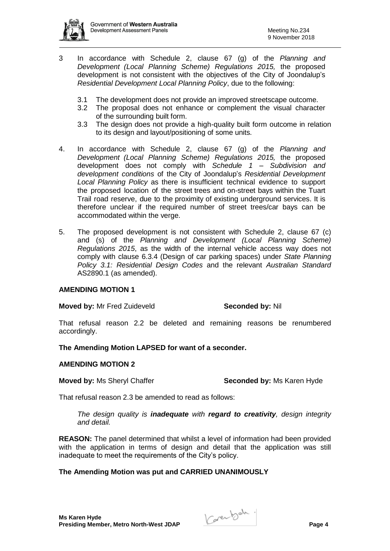

- 3 In accordance with Schedule 2, clause 67 (g) of the *Planning and Development (Local Planning Scheme) Regulations 2015,* the proposed development is not consistent with the objectives of the City of Joondalup's *Residential Development Local Planning Policy*, due to the following:
	- 3.1 The development does not provide an improved streetscape outcome.
	- 3.2 The proposal does not enhance or complement the visual character of the surrounding built form.
	- 3.3 The design does not provide a high-quality built form outcome in relation to its design and layout/positioning of some units.
- 4. In accordance with Schedule 2, clause 67 (g) of the *Planning and Development (Local Planning Scheme) Regulations 2015,* the proposed development does not comply with *Schedule 1 – Subdivision and development conditions* of the City of Joondalup's *Residential Development Local Planning Policy* as there is insufficient technical evidence to support the proposed location of the street trees and on-street bays within the Tuart Trail road reserve, due to the proximity of existing underground services. It is therefore unclear if the required number of street trees/car bays can be accommodated within the verge.
- 5. The proposed development is not consistent with Schedule 2, clause 67 (c) and (s) of the *Planning and Development (Local Planning Scheme) Regulations 2015*, as the width of the internal vehicle access way does not comply with clause 6.3.4 (Design of car parking spaces) under *State Planning Policy 3.1: Residential Design Codes* and the relevant *Australian Standard*  AS2890.1 (as amended).

# **AMENDING MOTION 1**

**Moved by:** Mr Fred Zuideveld **Seconded by:** Nil

That refusal reason 2.2 be deleted and remaining reasons be renumbered accordingly.

**The Amending Motion LAPSED for want of a seconder.**

# **AMENDING MOTION 2**

**Moved by: Ms Sheryl Chaffer <b>Seconded by:** Ms Karen Hyde

That refusal reason 2.3 be amended to read as follows:

*The design quality is inadequate with regard to creativity, design integrity and detail.*

**REASON:** The panel determined that whilst a level of information had been provided with the application in terms of design and detail that the application was still inadequate to meet the requirements of the City's policy.

# **The Amending Motion was put and CARRIED UNANIMOUSLY**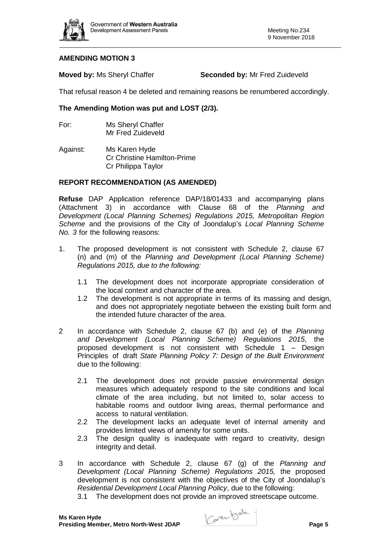

#### **AMENDING MOTION 3**

**Moved by:** Ms Sheryl Chaffer **Seconded by:** Mr Fred Zuideveld

That refusal reason 4 be deleted and remaining reasons be renumbered accordingly.

# **The Amending Motion was put and LOST (2/3).**

For: Ms Sheryl Chaffer Mr Fred Zuideveld

Against: Ms Karen Hyde Cr Christine Hamilton-Prime Cr Philippa Taylor

# **REPORT RECOMMENDATION (AS AMENDED)**

**Refuse** DAP Application reference DAP/18/01433 and accompanying plans (Attachment 3) in accordance with Clause 68 of the *Planning and Development (Local Planning Schemes) Regulations 2015, Metropolitan Region Scheme* and the provisions of the City of Joondalup's *Local Planning Scheme No. 3* for the following reasons:

- 1. The proposed development is not consistent with Schedule 2, clause 67 (n) and (m) of the *Planning and Development (Local Planning Scheme) Regulations 2015, due to the following:*
	- 1.1 The development does not incorporate appropriate consideration of the local context and character of the area.
	- 1.2 The development is not appropriate in terms of its massing and design, and does not appropriately negotiate between the existing built form and the intended future character of the area.
- 2 In accordance with Schedule 2, clause 67 (b) and (e) of the *Planning and Development (Local Planning Scheme) Regulations 2015*, the proposed development is not consistent with Schedule 1 – Design Principles of draft *State Planning Policy 7: Design of the Built Environment* due to the following:
	- 2.1 The development does not provide passive environmental design measures which adequately respond to the site conditions and local climate of the area including, but not limited to, solar access to habitable rooms and outdoor living areas, thermal performance and access to natural ventilation.
	- 2.2 The development lacks an adequate level of internal amenity and provides limited views of amenity for some units.
	- 2.3 The design quality is inadequate with regard to creativity, design integrity and detail.
- 3 In accordance with Schedule 2, clause 67 (g) of the *Planning and Development (Local Planning Scheme) Regulations 2015,* the proposed development is not consistent with the objectives of the City of Joondalup's *Residential Development Local Planning Policy*, due to the following:
	- 3.1 The development does not provide an improved streetscape outcome.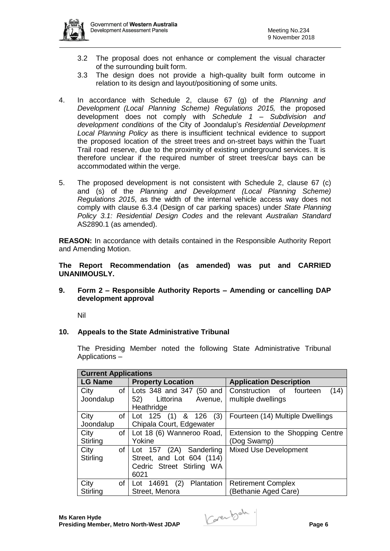

- 3.2 The proposal does not enhance or complement the visual character of the surrounding built form.
- 3.3 The design does not provide a high-quality built form outcome in relation to its design and layout/positioning of some units.
- 4. In accordance with Schedule 2, clause 67 (g) of the *Planning and Development (Local Planning Scheme) Regulations 2015,* the proposed development does not comply with *Schedule 1 – Subdivision and development conditions* of the City of Joondalup's *Residential Development Local Planning Policy* as there is insufficient technical evidence to support the proposed location of the street trees and on-street bays within the Tuart Trail road reserve, due to the proximity of existing underground services. It is therefore unclear if the required number of street trees/car bays can be accommodated within the verge.
- 5. The proposed development is not consistent with Schedule 2, clause 67 (c) and (s) of the *Planning and Development (Local Planning Scheme) Regulations 2015*, as the width of the internal vehicle access way does not comply with clause 6.3.4 (Design of car parking spaces) under *State Planning Policy 3.1: Residential Design Codes* and the relevant *Australian Standard*  AS2890.1 (as amended).

**REASON:** In accordance with details contained in the Responsible Authority Report and Amending Motion.

**The Report Recommendation (as amended) was put and CARRIED UNANIMOUSLY.**

**9. Form 2 – Responsible Authority Reports – Amending or cancelling DAP development approval**

Nil

# **10. Appeals to the State Administrative Tribunal**

The Presiding Member noted the following State Administrative Tribunal Applications –

| <b>Current Applications</b> |      |                                |                                     |  |
|-----------------------------|------|--------------------------------|-------------------------------------|--|
| <b>LG Name</b>              |      | <b>Property Location</b>       | <b>Application Description</b>      |  |
| City                        | of I | Lots 348 and 347 (50 and       | (14)<br>Construction of<br>fourteen |  |
| Joondalup                   |      | Littorina Avenue,<br>52)       | multiple dwellings                  |  |
|                             |      | Heathridge                     |                                     |  |
| City                        | of   | (3)<br>& 126<br>Lot 125<br>(1) | Fourteen (14) Multiple Dwellings    |  |
| Joondalup                   |      | Chipala Court, Edgewater       |                                     |  |
| City                        | of   | Lot 18 (6) Wanneroo Road,      | Extension to the Shopping Centre    |  |
| <b>Stirling</b>             |      | Yokine                         | (Dog Swamp)                         |  |
| City                        | of   | Lot 157 (2A) Sanderling        | <b>Mixed Use Development</b>        |  |
| Stirling                    |      | Street, and Lot 604 (114)      |                                     |  |
|                             |      | Cedric Street Stirling WA      |                                     |  |
|                             |      | 6021                           |                                     |  |
| City                        | of   | (2)<br>Plantation<br>Lot 14691 | <b>Retirement Complex</b>           |  |
| Stirling                    |      | Street, Menora                 | Bethanie Aged Care)                 |  |